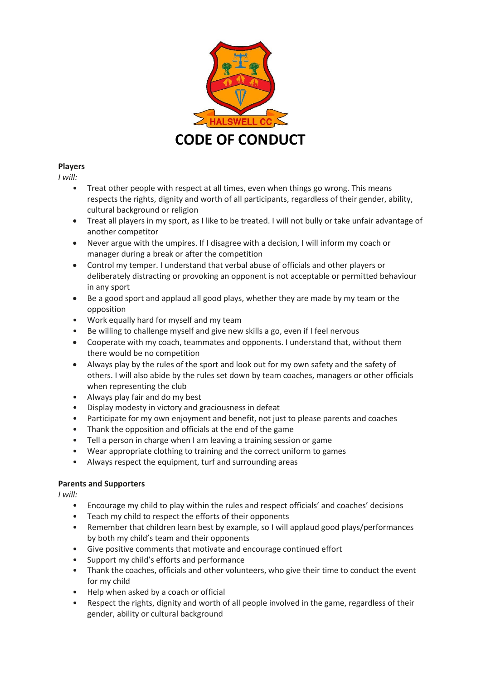

## **Players**

*I will:*

- Treat other people with respect at all times, even when things go wrong. This means respects the rights, dignity and worth of all participants, regardless of their gender, ability, cultural background or religion
- Treat all players in my sport, as I like to be treated. I will not bully or take unfair advantage of another competitor
- Never argue with the umpires. If I disagree with a decision, I will inform my coach or manager during a break or after the competition
- Control my temper. I understand that verbal abuse of officials and other players or deliberately distracting or provoking an opponent is not acceptable or permitted behaviour in any sport
- Be a good sport and applaud all good plays, whether they are made by my team or the opposition
- Work equally hard for myself and my team
- Be willing to challenge myself and give new skills a go, even if I feel nervous
- Cooperate with my coach, teammates and opponents. I understand that, without them there would be no competition
- Always play by the rules of the sport and look out for my own safety and the safety of others. I will also abide by the rules set down by team coaches, managers or other officials when representing the club
- Always play fair and do my best
- Display modesty in victory and graciousness in defeat
- Participate for my own enjoyment and benefit, not just to please parents and coaches
- Thank the opposition and officials at the end of the game
- Tell a person in charge when I am leaving a training session or game
- Wear appropriate clothing to training and the correct uniform to games
- Always respect the equipment, turf and surrounding areas

## **Parents and Supporters**

*I will:*

- Encourage my child to play within the rules and respect officials' and coaches' decisions
- Teach my child to respect the efforts of their opponents
- Remember that children learn best by example, so I will applaud good plays/performances by both my child's team and their opponents
- Give positive comments that motivate and encourage continued effort
- Support my child's efforts and performance
- Thank the coaches, officials and other volunteers, who give their time to conduct the event for my child
- Help when asked by a coach or official
- Respect the rights, dignity and worth of all people involved in the game, regardless of their gender, ability or cultural background